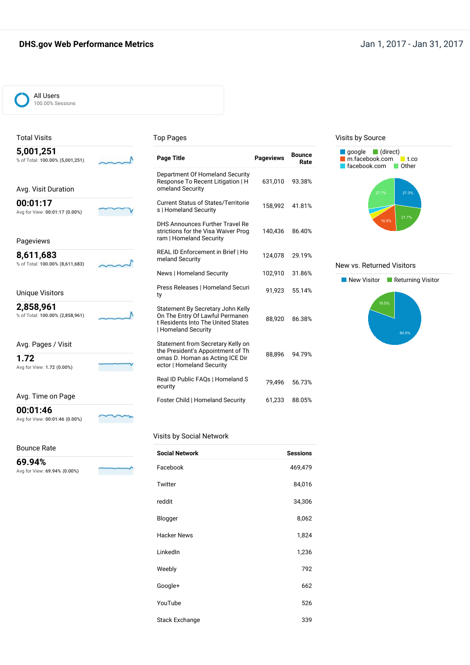## **DHS.gov Web Performance Metrics Jan 1, 2017 - Jan 31, 2017**



#### Total Visits

#### Top Pages

| 5,001,251<br>% of Total: 100.00% (5,001,251) | <b>Page Title</b>                                                                                                                 | <b>Pageviews</b> | <b>Bounce</b><br>Rate |
|----------------------------------------------|-----------------------------------------------------------------------------------------------------------------------------------|------------------|-----------------------|
| Avg. Visit Duration                          | Department Of Homeland Security<br>Response To Recent Litigation   H<br>omeland Security                                          | 631,010          | 93.38%                |
| 00:01:17<br>Avg for View: 00:01:17 (0.00%)   | <b>Current Status of States/Territorie</b><br>s   Homeland Security                                                               | 158,992          | 41.81%                |
| Pageviews                                    | DHS Announces Further Travel Re<br>strictions for the Visa Waiver Prog<br>ram   Homeland Security                                 | 140,436          | 86.40%                |
| 8,611,683<br>% of Total: 100.00% (8,611,683) | REAL ID Enforcement in Brief   Ho<br>meland Security                                                                              | 124,078          | 29.19%                |
|                                              | News   Homeland Security                                                                                                          | 102,910          | 31.86%                |
| <b>Unique Visitors</b>                       | Press Releases   Homeland Securi<br>ty                                                                                            | 91,923           | 55.14%                |
| 2,858,961<br>% of Total: 100.00% (2,858,961) | Statement By Secretary John Kelly<br>On The Entry Of Lawful Permanen<br>t Residents Into The United States<br>  Homeland Security | 88,920           | 86.38%                |
| Avg. Pages / Visit<br>1.72                   | Statement from Secretary Kelly on<br>the President's Appointment of Th<br>omas D. Homan as Acting ICE Dir                         | 88,896           | 94.79%                |
| Avg for View: 1.72 (0.00%)                   | ector   Homeland Security                                                                                                         |                  |                       |
|                                              | Real ID Public FAQs   Homeland S<br>ecurity                                                                                       | 79,496           | 56.73%                |
| Avg. Time on Page                            | Foster Child   Homeland Security                                                                                                  | 61,233           | 88.05%                |

#### Visits by Source



#### New vs. Returned Visitors



} Avg for View: **00:01:46 (0.00%)**

Bounce Rate

**00:01:46**

**69.94%** Avg for View: **69.94% (0.00%)**

#### Visits by Social Network

| <b>Social Network</b> | <b>Sessions</b> |
|-----------------------|-----------------|
| Facebook              | 469,479         |
| Twitter               | 84,016          |
| reddit                | 34,306          |
| Blogger               | 8,062           |
| <b>Hacker News</b>    | 1,824           |
| LinkedIn              | 1,236           |
| Weebly                | 792             |
| Google+               | 662             |
| YouTube               | 526             |
| <b>Stack Exchange</b> | 339             |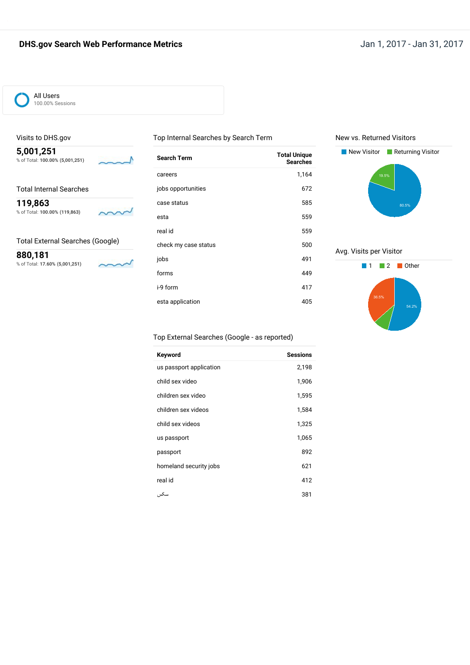# **DHS.gov Search Web Performance Metrics Jan 1, 2017 - Jan 31, 2017**



### Visits to DHS.gov

**5,001,251** % of Total: **100.00% (5,001,251)**

Total Internal Searches

**119,863** % of Total: **100.00% (119,863)**



♪

#### Total External Searches (Google)

**880,181** % of Total: **17.60% (5,001,251)**

√

| <b>Search Term</b><br>careers<br>jobs opportunities | <b>Total Unique</b><br><b>Searches</b><br>1,164<br>672 |
|-----------------------------------------------------|--------------------------------------------------------|
|                                                     |                                                        |
|                                                     |                                                        |
|                                                     |                                                        |
| case status                                         | 585                                                    |
| esta                                                | 559                                                    |
| real id                                             | 559                                                    |
| check my case status                                | 500                                                    |
| jobs                                                | 491                                                    |
| forms                                               | 449                                                    |
| i-9 form                                            | 417                                                    |
| esta application                                    | 405                                                    |

Top Internal Searches by Search Term

#### New vs. Returned Visitors



Avg. Visits per Visitor

# **1** 2 Other 36.5%

### Top External Searches (Google - as reported)

| Keyword                 | <b>Sessions</b> |
|-------------------------|-----------------|
| us passport application | 2,198           |
| child sex video         | 1,906           |
| children sex video      | 1,595           |
| children sex videos     | 1,584           |
| child sex videos        | 1,325           |
| us passport             | 1,065           |
| passport                | 892             |
| homeland security jobs  | 621             |
| real id                 | 412             |
| سكس                     | 381             |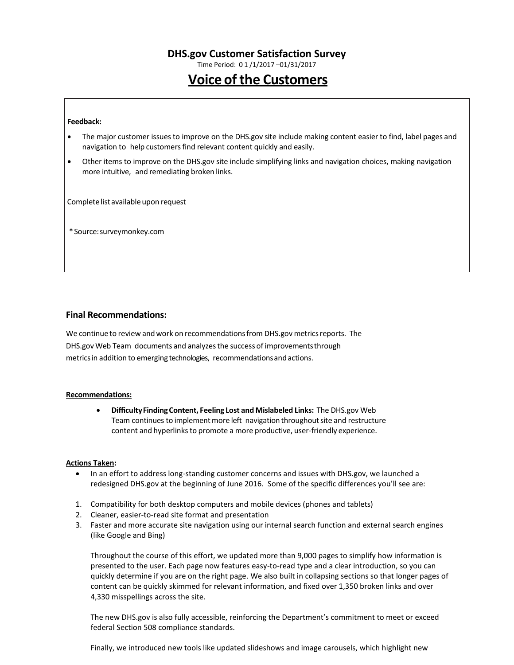Time Period: 0 1 /1/2017 –01/31/2017

# **Voice of the Customers**

#### **Feedback:**

- The major customer issuesto improve on the DHS.gov site include making content easier to find, label pages and navigation to help customers find relevant content quickly and easily.
- Other items to improve on the DHS.gov site include simplifying links and navigation choices, making navigation more intuitive, and remediating broken links.

Complete list available upon request

\*Source:surveymonkey.com

#### **Final Recommendations:**

We continue to review and work on recommendations from DHS.gov metrics reports. The DHS.gov Web Team documents and analyzesthe success of improvementsthrough metricsin addition to emerging technologies, recommendationsandactions.

#### **Recommendations:**

 **DifficultyFindingContent, Feeling Lost and Mislabeled Links:** The DHS.gov Web Team continues to implement more left navigation throughout site and restructure content and hyperlinks to promote a more productive, user-friendly experience.

#### **Actions Taken:**

- In an effort to address long-standing customer concerns and issues with DHS.gov, we launched a redesigned DHS.gov at the beginning of June 2016. Some of the specific differences you'll see are:
- 1. Compatibility for both desktop computers and mobile devices (phones and tablets)
- 2. Cleaner, easier-to-read site format and presentation
- 3. Faster and more accurate site navigation using our internal search function and external search engines (like Google and Bing)

Throughout the course of this effort, we updated more than 9,000 pages to simplify how information is presented to the user. Each page now features easy-to-read type and a clear introduction, so you can quickly determine if you are on the right page. We also built in collapsing sections so that longer pages of content can be quickly skimmed for relevant information, and fixed over 1,350 broken links and over 4,330 misspellings across the site.

The new DHS.gov is also fully accessible, reinforcing the Department's commitment to meet or exceed federal Section 508 compliance standards.

Finally, we introduced new tools like updated slideshows and image carousels, which highlight new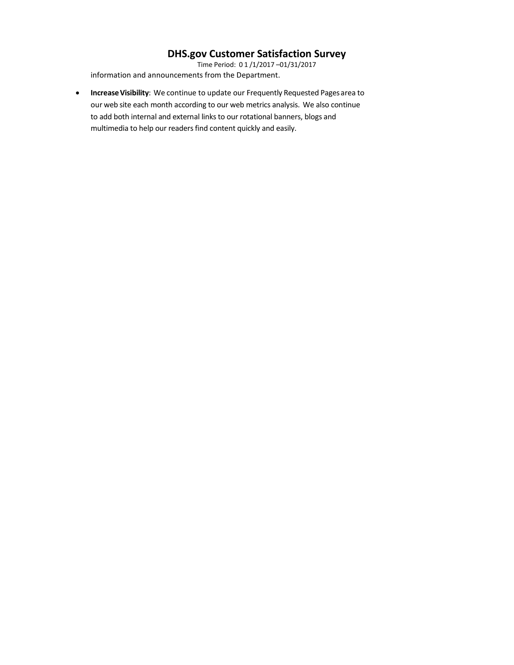Time Period: 0 1 /1/2017 –01/31/2017 information and announcements from the Department.

**Increase Visibility**: We continue to update our Frequently Requested Pages area to our web site each month according to our web metrics analysis. We also continue to add both internal and external links to our rotational banners, blogs and multimedia to help our readers find content quickly and easily.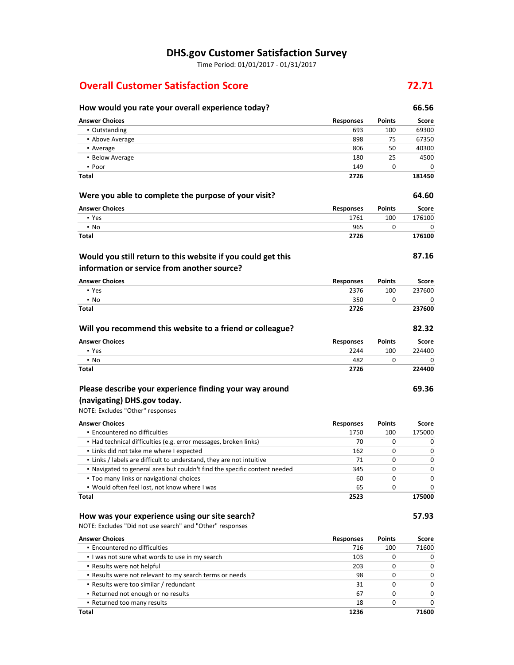Time Period: 01/01/2017 - 01/31/2017

# **Overall Customer Satisfaction Score 72.71**

## **How would you rate your overall experience today? 66.56 Answer Choices Responses Points Score** ▪ Outstanding 693 100 69300 **• Above Average 898 75 67350 •** Average 806 50 40300 **40300** ■ Below Average 180 25 4500  $\bullet$  Poor  $149$  0 0 0 **Total 2726 181450 Were you able to complete the purpose of your visit? 64.60 Answer Choices Responses Points Score** ▪ Yes 1761 100 176100 ▪ No 965 0 0 **Total 2726 176100 87.16 Answer Choices Responses Points Score** ▪ Yes 2376 100 237600 ▪ No 350 0 0 **Total 2726 237600 Will you recommend this website to a friend or colleague? 82.32 Answer Choices Responses Points Score** • Yes 2244 2244 100 224400 ▪ No 482 0 0 **Total 2726 224400 Would you still return to this website if you could get this information or service from another source?**

### **Please describe your experience finding your way around**

### **(navigating) DHS.gov today.**

NOTE: Excludes "Other" responses

| <b>Answer Choices</b>                                                     | <b>Responses</b> | <b>Points</b> | Score        |
|---------------------------------------------------------------------------|------------------|---------------|--------------|
| • Encountered no difficulties                                             | 1750             | 100           | 175000       |
| • Had technical difficulties (e.g. error messages, broken links)          | 70               | 0             |              |
| • Links did not take me where I expected                                  | 162              | $\Omega$      | <sup>0</sup> |
| . Links / labels are difficult to understand, they are not intuitive      | 71               | $\Omega$      | <sup>0</sup> |
| . Navigated to general area but couldn't find the specific content needed | 345              | $\Omega$      | <sup>0</sup> |
| • Too many links or navigational choices                                  | 60               | $\Omega$      |              |
| . Would often feel lost, not know where I was                             | 65               | $\Omega$      |              |
| Total                                                                     | 2523             |               | 175000       |

#### **How was your experience using our site search? 57.93**

NOTE: Excludes "Did not use search" and "Other" responses

| <b>Answer Choices</b>                                   | <b>Responses</b> | <b>Points</b> | Score        |
|---------------------------------------------------------|------------------|---------------|--------------|
| • Encountered no difficulties                           | 716              | 100           | 71600        |
| I was not sure what words to use in my search           | 103              |               | 0            |
| • Results were not helpful                              | 203              |               | <sup>0</sup> |
| . Results were not relevant to my search terms or needs | 98               | 0             | 0            |
| • Results were too similar / redundant                  | 31               |               | $\Omega$     |
| • Returned not enough or no results                     | 67               |               | $\Omega$     |
| • Returned too many results                             | 18               |               | <sup>0</sup> |
| <b>Total</b>                                            | 1236             |               | 71600        |

**69.36**